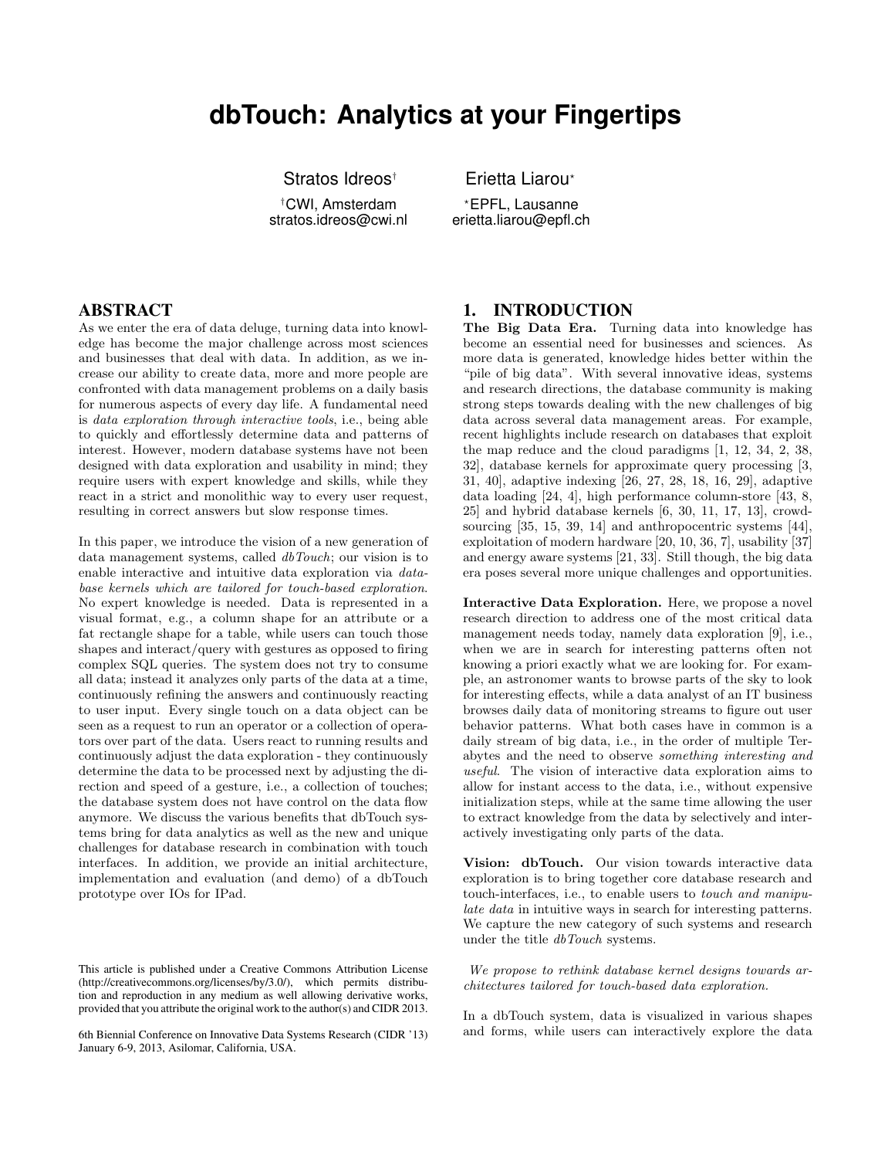# **dbTouch: Analytics at your Fingertips**

Stratos Idreos<sup>†</sup> **Erietta Liarou**\*

†CWI, Amsterdam ?EPFL, Lausanne

erietta.liarou@epfl.ch

#### ABSTRACT

As we enter the era of data deluge, turning data into knowledge has become the major challenge across most sciences and businesses that deal with data. In addition, as we increase our ability to create data, more and more people are confronted with data management problems on a daily basis for numerous aspects of every day life. A fundamental need is data exploration through interactive tools, i.e., being able to quickly and effortlessly determine data and patterns of interest. However, modern database systems have not been designed with data exploration and usability in mind; they require users with expert knowledge and skills, while they react in a strict and monolithic way to every user request, resulting in correct answers but slow response times.

In this paper, we introduce the vision of a new generation of data management systems, called dbTouch; our vision is to enable interactive and intuitive data exploration via database kernels which are tailored for touch-based exploration. No expert knowledge is needed. Data is represented in a visual format, e.g., a column shape for an attribute or a fat rectangle shape for a table, while users can touch those shapes and interact/query with gestures as opposed to firing complex SQL queries. The system does not try to consume all data; instead it analyzes only parts of the data at a time, continuously refining the answers and continuously reacting to user input. Every single touch on a data object can be seen as a request to run an operator or a collection of operators over part of the data. Users react to running results and continuously adjust the data exploration - they continuously determine the data to be processed next by adjusting the direction and speed of a gesture, i.e., a collection of touches; the database system does not have control on the data flow anymore. We discuss the various benefits that dbTouch systems bring for data analytics as well as the new and unique challenges for database research in combination with touch interfaces. In addition, we provide an initial architecture, implementation and evaluation (and demo) of a dbTouch prototype over IOs for IPad.

This article is published under a Creative Commons Attribution License (http://creativecommons.org/licenses/by/3.0/), which permits distribution and reproduction in any medium as well allowing derivative works, provided that you attribute the original work to the author(s) and CIDR 2013.

6th Biennial Conference on Innovative Data Systems Research (CIDR '13) January 6-9, 2013, Asilomar, California, USA.

## 1. INTRODUCTION

The Big Data Era. Turning data into knowledge has become an essential need for businesses and sciences. As more data is generated, knowledge hides better within the "pile of big data". With several innovative ideas, systems and research directions, the database community is making strong steps towards dealing with the new challenges of big data across several data management areas. For example, recent highlights include research on databases that exploit the map reduce and the cloud paradigms [1, 12, 34, 2, 38, 32], database kernels for approximate query processing [3, 31, 40], adaptive indexing [26, 27, 28, 18, 16, 29], adaptive data loading [24, 4], high performance column-store [43, 8, 25] and hybrid database kernels [6, 30, 11, 17, 13], crowdsourcing [35, 15, 39, 14] and anthropocentric systems [44], exploitation of modern hardware [20, 10, 36, 7], usability [37] and energy aware systems [21, 33]. Still though, the big data era poses several more unique challenges and opportunities.

Interactive Data Exploration. Here, we propose a novel research direction to address one of the most critical data management needs today, namely data exploration [9], i.e., when we are in search for interesting patterns often not knowing a priori exactly what we are looking for. For example, an astronomer wants to browse parts of the sky to look for interesting effects, while a data analyst of an IT business browses daily data of monitoring streams to figure out user behavior patterns. What both cases have in common is a daily stream of big data, i.e., in the order of multiple Terabytes and the need to observe something interesting and useful. The vision of interactive data exploration aims to allow for instant access to the data, i.e., without expensive initialization steps, while at the same time allowing the user to extract knowledge from the data by selectively and interactively investigating only parts of the data.

Vision: dbTouch. Our vision towards interactive data exploration is to bring together core database research and touch-interfaces, i.e., to enable users to touch and manipulate data in intuitive ways in search for interesting patterns. We capture the new category of such systems and research under the title dbTouch systems.

We propose to rethink database kernel designs towards architectures tailored for touch-based data exploration.

In a dbTouch system, data is visualized in various shapes and forms, while users can interactively explore the data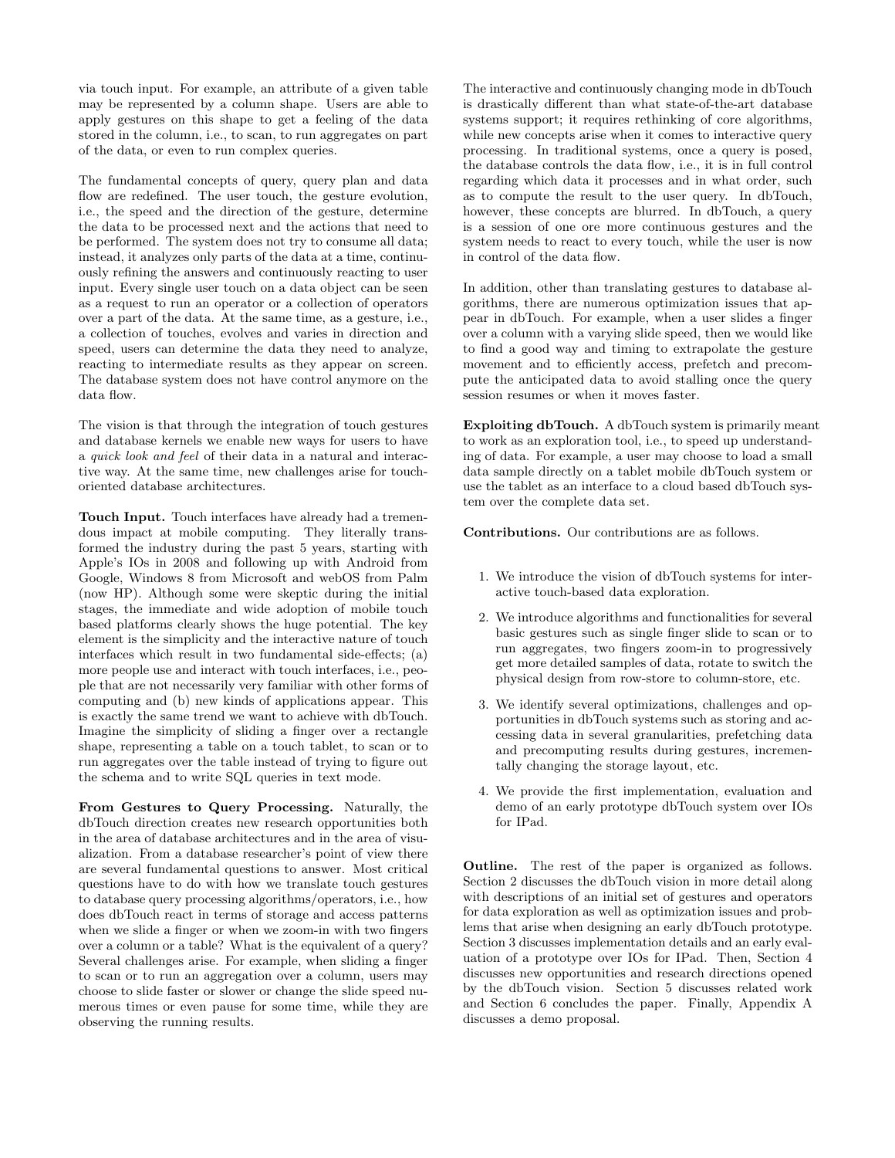via touch input. For example, an attribute of a given table may be represented by a column shape. Users are able to apply gestures on this shape to get a feeling of the data stored in the column, i.e., to scan, to run aggregates on part of the data, or even to run complex queries.

The fundamental concepts of query, query plan and data flow are redefined. The user touch, the gesture evolution, i.e., the speed and the direction of the gesture, determine the data to be processed next and the actions that need to be performed. The system does not try to consume all data; instead, it analyzes only parts of the data at a time, continuously refining the answers and continuously reacting to user input. Every single user touch on a data object can be seen as a request to run an operator or a collection of operators over a part of the data. At the same time, as a gesture, i.e., a collection of touches, evolves and varies in direction and speed, users can determine the data they need to analyze, reacting to intermediate results as they appear on screen. The database system does not have control anymore on the data flow.

The vision is that through the integration of touch gestures and database kernels we enable new ways for users to have a quick look and feel of their data in a natural and interactive way. At the same time, new challenges arise for touchoriented database architectures.

Touch Input. Touch interfaces have already had a tremendous impact at mobile computing. They literally transformed the industry during the past 5 years, starting with Apple's IOs in 2008 and following up with Android from Google, Windows 8 from Microsoft and webOS from Palm (now HP). Although some were skeptic during the initial stages, the immediate and wide adoption of mobile touch based platforms clearly shows the huge potential. The key element is the simplicity and the interactive nature of touch interfaces which result in two fundamental side-effects; (a) more people use and interact with touch interfaces, i.e., people that are not necessarily very familiar with other forms of computing and (b) new kinds of applications appear. This is exactly the same trend we want to achieve with dbTouch. Imagine the simplicity of sliding a finger over a rectangle shape, representing a table on a touch tablet, to scan or to run aggregates over the table instead of trying to figure out the schema and to write SQL queries in text mode.

From Gestures to Query Processing. Naturally, the dbTouch direction creates new research opportunities both in the area of database architectures and in the area of visualization. From a database researcher's point of view there are several fundamental questions to answer. Most critical questions have to do with how we translate touch gestures to database query processing algorithms/operators, i.e., how does dbTouch react in terms of storage and access patterns when we slide a finger or when we zoom-in with two fingers over a column or a table? What is the equivalent of a query? Several challenges arise. For example, when sliding a finger to scan or to run an aggregation over a column, users may choose to slide faster or slower or change the slide speed numerous times or even pause for some time, while they are observing the running results.

The interactive and continuously changing mode in dbTouch is drastically different than what state-of-the-art database systems support; it requires rethinking of core algorithms, while new concepts arise when it comes to interactive query processing. In traditional systems, once a query is posed, the database controls the data flow, i.e., it is in full control regarding which data it processes and in what order, such as to compute the result to the user query. In dbTouch, however, these concepts are blurred. In dbTouch, a query is a session of one ore more continuous gestures and the system needs to react to every touch, while the user is now in control of the data flow.

In addition, other than translating gestures to database algorithms, there are numerous optimization issues that appear in dbTouch. For example, when a user slides a finger over a column with a varying slide speed, then we would like to find a good way and timing to extrapolate the gesture movement and to efficiently access, prefetch and precompute the anticipated data to avoid stalling once the query session resumes or when it moves faster.

Exploiting dbTouch. A dbTouch system is primarily meant to work as an exploration tool, i.e., to speed up understanding of data. For example, a user may choose to load a small data sample directly on a tablet mobile dbTouch system or use the tablet as an interface to a cloud based dbTouch system over the complete data set.

Contributions. Our contributions are as follows.

- 1. We introduce the vision of dbTouch systems for interactive touch-based data exploration.
- 2. We introduce algorithms and functionalities for several basic gestures such as single finger slide to scan or to run aggregates, two fingers zoom-in to progressively get more detailed samples of data, rotate to switch the physical design from row-store to column-store, etc.
- 3. We identify several optimizations, challenges and opportunities in dbTouch systems such as storing and accessing data in several granularities, prefetching data and precomputing results during gestures, incrementally changing the storage layout, etc.
- 4. We provide the first implementation, evaluation and demo of an early prototype dbTouch system over IOs for IPad.

Outline. The rest of the paper is organized as follows. Section 2 discusses the dbTouch vision in more detail along with descriptions of an initial set of gestures and operators for data exploration as well as optimization issues and problems that arise when designing an early dbTouch prototype. Section 3 discusses implementation details and an early evaluation of a prototype over IOs for IPad. Then, Section 4 discusses new opportunities and research directions opened by the dbTouch vision. Section 5 discusses related work and Section 6 concludes the paper. Finally, Appendix A discusses a demo proposal.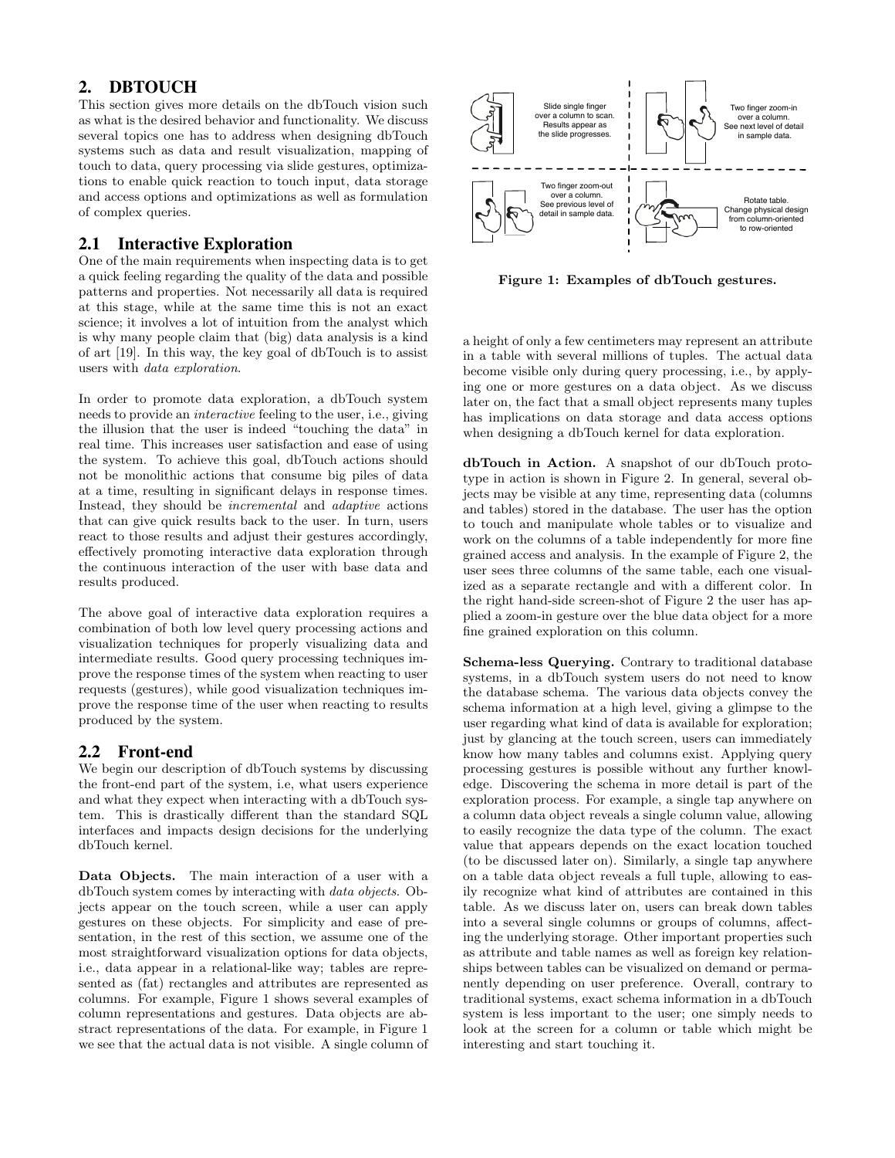# 2. DBTOUCH

This section gives more details on the dbTouch vision such as what is the desired behavior and functionality. We discuss several topics one has to address when designing dbTouch systems such as data and result visualization, mapping of touch to data, query processing via slide gestures, optimizations to enable quick reaction to touch input, data storage and access options and optimizations as well as formulation of complex queries.

# 2.1 Interactive Exploration

One of the main requirements when inspecting data is to get a quick feeling regarding the quality of the data and possible patterns and properties. Not necessarily all data is required at this stage, while at the same time this is not an exact science; it involves a lot of intuition from the analyst which is why many people claim that (big) data analysis is a kind of art [19]. In this way, the key goal of dbTouch is to assist users with data exploration.

In order to promote data exploration, a dbTouch system needs to provide an interactive feeling to the user, i.e., giving the illusion that the user is indeed "touching the data" in real time. This increases user satisfaction and ease of using the system. To achieve this goal, dbTouch actions should not be monolithic actions that consume big piles of data at a time, resulting in significant delays in response times. Instead, they should be incremental and adaptive actions that can give quick results back to the user. In turn, users react to those results and adjust their gestures accordingly, effectively promoting interactive data exploration through the continuous interaction of the user with base data and results produced.

The above goal of interactive data exploration requires a combination of both low level query processing actions and visualization techniques for properly visualizing data and intermediate results. Good query processing techniques improve the response times of the system when reacting to user requests (gestures), while good visualization techniques improve the response time of the user when reacting to results produced by the system.

# 2.2 Front-end

We begin our description of dbTouch systems by discussing the front-end part of the system, i.e, what users experience and what they expect when interacting with a dbTouch system. This is drastically different than the standard SQL interfaces and impacts design decisions for the underlying dbTouch kernel.

Data Objects. The main interaction of a user with a dbTouch system comes by interacting with data objects. Objects appear on the touch screen, while a user can apply gestures on these objects. For simplicity and ease of presentation, in the rest of this section, we assume one of the most straightforward visualization options for data objects, i.e., data appear in a relational-like way; tables are represented as (fat) rectangles and attributes are represented as columns. For example, Figure 1 shows several examples of column representations and gestures. Data objects are abstract representations of the data. For example, in Figure 1 we see that the actual data is not visible. A single column of



Figure 1: Examples of dbTouch gestures.

a height of only a few centimeters may represent an attribute in a table with several millions of tuples. The actual data become visible only during query processing, i.e., by applying one or more gestures on a data object. As we discuss later on, the fact that a small object represents many tuples has implications on data storage and data access options when designing a dbTouch kernel for data exploration.

dbTouch in Action. A snapshot of our dbTouch prototype in action is shown in Figure 2. In general, several objects may be visible at any time, representing data (columns and tables) stored in the database. The user has the option to touch and manipulate whole tables or to visualize and work on the columns of a table independently for more fine grained access and analysis. In the example of Figure 2, the user sees three columns of the same table, each one visualized as a separate rectangle and with a different color. In the right hand-side screen-shot of Figure 2 the user has applied a zoom-in gesture over the blue data object for a more fine grained exploration on this column.

Schema-less Querying. Contrary to traditional database systems, in a dbTouch system users do not need to know the database schema. The various data objects convey the schema information at a high level, giving a glimpse to the user regarding what kind of data is available for exploration; just by glancing at the touch screen, users can immediately know how many tables and columns exist. Applying query processing gestures is possible without any further knowledge. Discovering the schema in more detail is part of the exploration process. For example, a single tap anywhere on a column data object reveals a single column value, allowing to easily recognize the data type of the column. The exact value that appears depends on the exact location touched (to be discussed later on). Similarly, a single tap anywhere on a table data object reveals a full tuple, allowing to easily recognize what kind of attributes are contained in this table. As we discuss later on, users can break down tables into a several single columns or groups of columns, affecting the underlying storage. Other important properties such as attribute and table names as well as foreign key relationships between tables can be visualized on demand or permanently depending on user preference. Overall, contrary to traditional systems, exact schema information in a dbTouch system is less important to the user; one simply needs to look at the screen for a column or table which might be interesting and start touching it.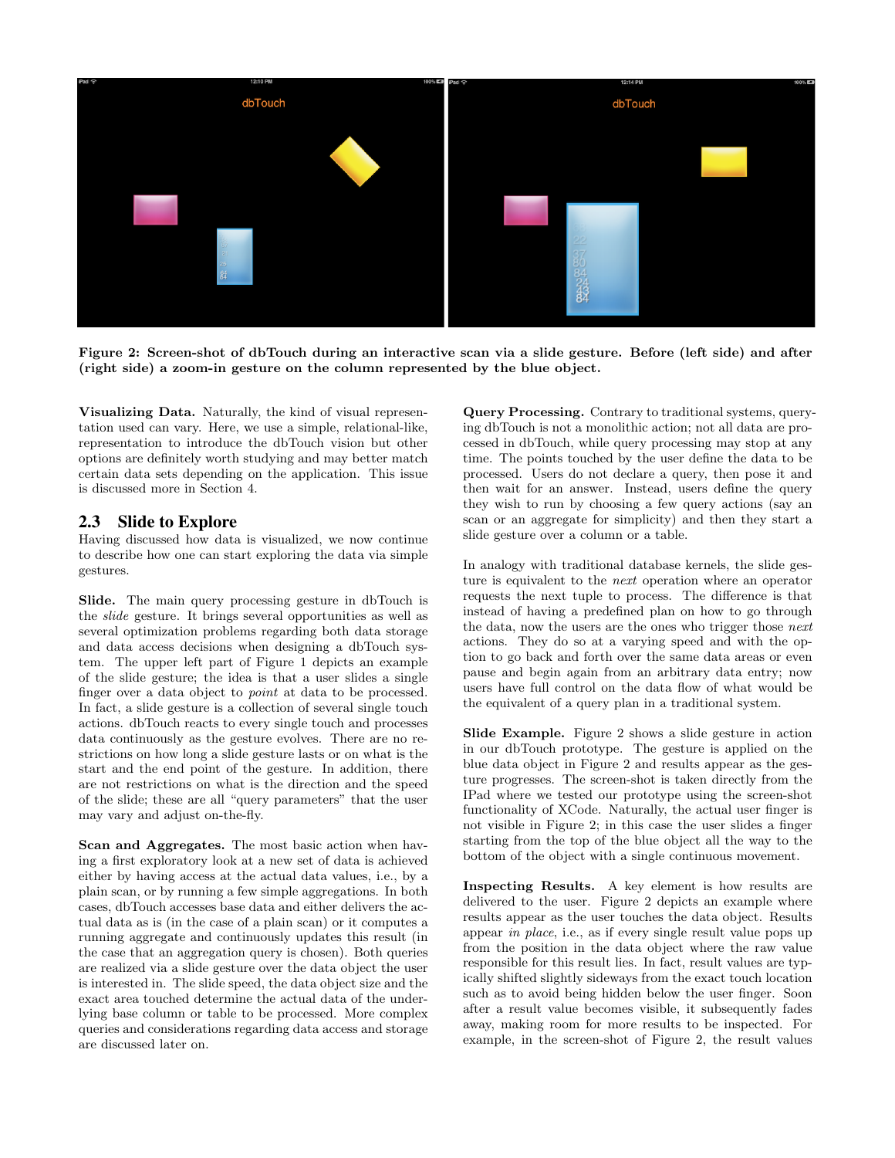

Figure 2: Screen-shot of dbTouch during an interactive scan via a slide gesture. Before (left side) and after (right side) a zoom-in gesture on the column represented by the blue object.

Visualizing Data. Naturally, the kind of visual representation used can vary. Here, we use a simple, relational-like, representation to introduce the dbTouch vision but other options are definitely worth studying and may better match certain data sets depending on the application. This issue is discussed more in Section 4.

#### 2.3 Slide to Explore

Having discussed how data is visualized, we now continue to describe how one can start exploring the data via simple gestures.

Slide. The main query processing gesture in dbTouch is the slide gesture. It brings several opportunities as well as several optimization problems regarding both data storage and data access decisions when designing a dbTouch system. The upper left part of Figure 1 depicts an example of the slide gesture; the idea is that a user slides a single finger over a data object to point at data to be processed. In fact, a slide gesture is a collection of several single touch actions. dbTouch reacts to every single touch and processes data continuously as the gesture evolves. There are no restrictions on how long a slide gesture lasts or on what is the start and the end point of the gesture. In addition, there are not restrictions on what is the direction and the speed of the slide; these are all "query parameters" that the user may vary and adjust on-the-fly.

Scan and Aggregates. The most basic action when having a first exploratory look at a new set of data is achieved either by having access at the actual data values, i.e., by a plain scan, or by running a few simple aggregations. In both cases, dbTouch accesses base data and either delivers the actual data as is (in the case of a plain scan) or it computes a running aggregate and continuously updates this result (in the case that an aggregation query is chosen). Both queries are realized via a slide gesture over the data object the user is interested in. The slide speed, the data object size and the exact area touched determine the actual data of the underlying base column or table to be processed. More complex queries and considerations regarding data access and storage are discussed later on.

Query Processing. Contrary to traditional systems, querying dbTouch is not a monolithic action; not all data are processed in dbTouch, while query processing may stop at any time. The points touched by the user define the data to be processed. Users do not declare a query, then pose it and then wait for an answer. Instead, users define the query they wish to run by choosing a few query actions (say an scan or an aggregate for simplicity) and then they start a slide gesture over a column or a table.

In analogy with traditional database kernels, the slide gesture is equivalent to the next operation where an operator requests the next tuple to process. The difference is that instead of having a predefined plan on how to go through the data, now the users are the ones who trigger those next actions. They do so at a varying speed and with the option to go back and forth over the same data areas or even pause and begin again from an arbitrary data entry; now users have full control on the data flow of what would be the equivalent of a query plan in a traditional system.

Slide Example. Figure 2 shows a slide gesture in action in our dbTouch prototype. The gesture is applied on the blue data object in Figure 2 and results appear as the gesture progresses. The screen-shot is taken directly from the IPad where we tested our prototype using the screen-shot functionality of XCode. Naturally, the actual user finger is not visible in Figure 2; in this case the user slides a finger starting from the top of the blue object all the way to the bottom of the object with a single continuous movement.

Inspecting Results. A key element is how results are delivered to the user. Figure 2 depicts an example where results appear as the user touches the data object. Results appear in place, i.e., as if every single result value pops up from the position in the data object where the raw value responsible for this result lies. In fact, result values are typically shifted slightly sideways from the exact touch location such as to avoid being hidden below the user finger. Soon after a result value becomes visible, it subsequently fades away, making room for more results to be inspected. For example, in the screen-shot of Figure 2, the result values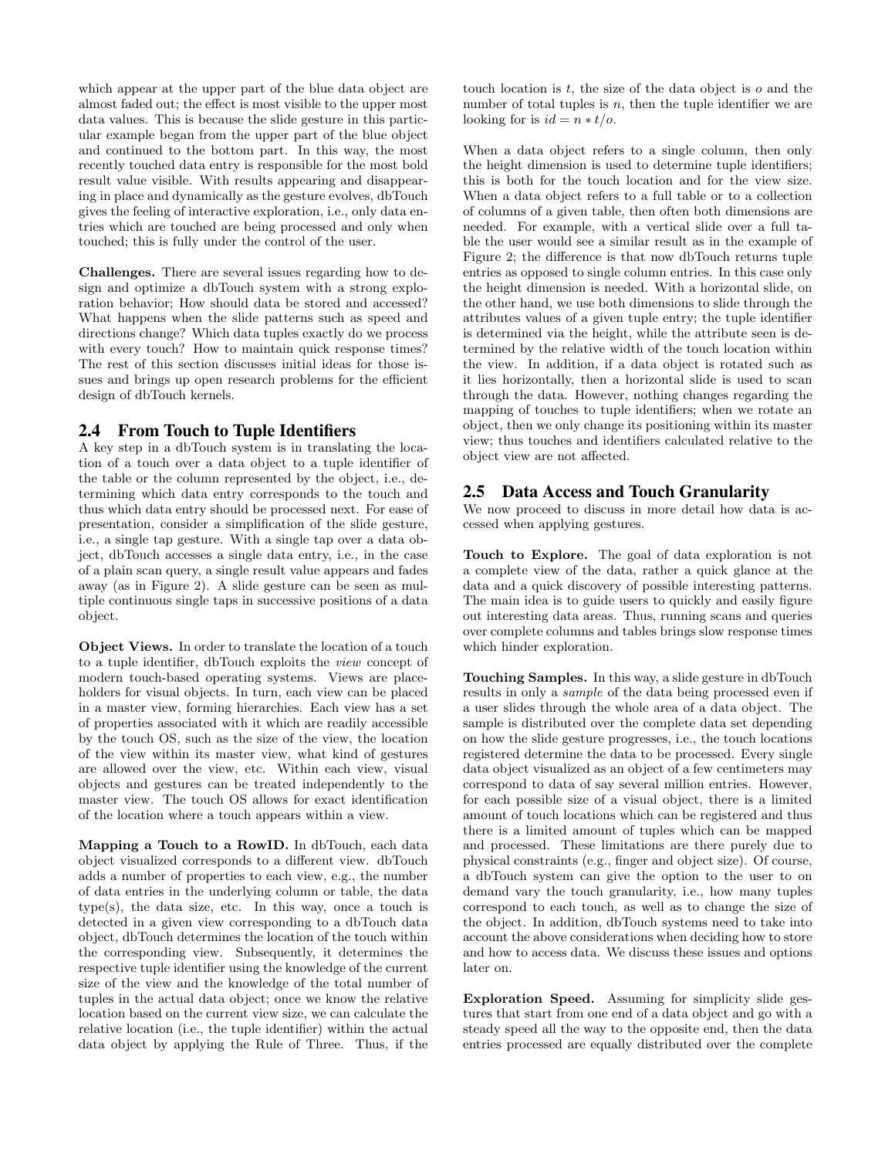which appear at the upper part of the blue data object are almost faded out; the effect is most visible to the upper most data values. This is because the slide gesture in this particular example began from the upper part of the blue object and continued to the bottom part. In this way, the most recently touched data entry is responsible for the most bold result value visible. With results appearing and disappearing in place and dynamically as the gesture evolves, dbTouch gives the feeling of interactive exploration, i.e., only data entries which are touched are being processed and only when touched; this is fully under the control of the user.

Challenges. There are several issues regarding how to design and optimize a dbTouch system with a strong exploration behavior; How should data be stored and accessed? What happens when the slide patterns such as speed and directions change? Which data tuples exactly do we process with every touch? How to maintain quick response times? The rest of this section discusses initial ideas for those issues and brings up open research problems for the efficient design of dbTouch kernels.

#### 2.4 From Touch to Tuple Identifiers

A key step in a dbTouch system is in translating the location of a touch over a data object to a tuple identifier of the table or the column represented by the object, i.e., determining which data entry corresponds to the touch and thus which data entry should be processed next. For ease of presentation, consider a simplification of the slide gesture, i.e., a single tap gesture. With a single tap over a data object, dbTouch accesses a single data entry, i.e., in the case of a plain scan query, a single result value appears and fades away (as in Figure 2). A slide gesture can be seen as multiple continuous single taps in successive positions of a data object.

Object Views. In order to translate the location of a touch to a tuple identifier, dbTouch exploits the view concept of modern touch-based operating systems. Views are placeholders for visual objects. In turn, each view can be placed in a master view, forming hierarchies. Each view has a set of properties associated with it which are readily accessible by the touch OS, such as the size of the view, the location of the view within its master view, what kind of gestures are allowed over the view, etc. Within each view, visual objects and gestures can be treated independently to the master view. The touch OS allows for exact identification of the location where a touch appears within a view.

Mapping a Touch to a RowID. In dbTouch, each data object visualized corresponds to a different view. dbTouch adds a number of properties to each view, e.g., the number of data entries in the underlying column or table, the data type(s), the data size, etc. In this way, once a touch is detected in a given view corresponding to a dbTouch data object, dbTouch determines the location of the touch within the corresponding view. Subsequently, it determines the respective tuple identifier using the knowledge of the current size of the view and the knowledge of the total number of tuples in the actual data object; once we know the relative location based on the current view size, we can calculate the relative location (i.e., the tuple identifier) within the actual data object by applying the Rule of Three. Thus, if the touch location is  $t$ , the size of the data object is  $o$  and the number of total tuples is  $n$ , then the tuple identifier we are looking for is  $id = n * t/o$ .

When a data object refers to a single column, then only the height dimension is used to determine tuple identifiers; this is both for the touch location and for the view size. When a data object refers to a full table or to a collection of columns of a given table, then often both dimensions are needed. For example, with a vertical slide over a full table the user would see a similar result as in the example of Figure 2; the difference is that now dbTouch returns tuple entries as opposed to single column entries. In this case only the height dimension is needed. With a horizontal slide, on the other hand, we use both dimensions to slide through the attributes values of a given tuple entry; the tuple identifier is determined via the height, while the attribute seen is determined by the relative width of the touch location within the view. In addition, if a data object is rotated such as it lies horizontally, then a horizontal slide is used to scan through the data. However, nothing changes regarding the mapping of touches to tuple identifiers; when we rotate an object, then we only change its positioning within its master view; thus touches and identifiers calculated relative to the object view are not affected.

#### 2.5 Data Access and Touch Granularity

We now proceed to discuss in more detail how data is accessed when applying gestures.

Touch to Explore. The goal of data exploration is not a complete view of the data, rather a quick glance at the data and a quick discovery of possible interesting patterns. The main idea is to guide users to quickly and easily figure out interesting data areas. Thus, running scans and queries over complete columns and tables brings slow response times which hinder exploration.

Touching Samples. In this way, a slide gesture in dbTouch results in only a sample of the data being processed even if a user slides through the whole area of a data object. The sample is distributed over the complete data set depending on how the slide gesture progresses, i.e., the touch locations registered determine the data to be processed. Every single data object visualized as an object of a few centimeters may correspond to data of say several million entries. However, for each possible size of a visual object, there is a limited amount of touch locations which can be registered and thus there is a limited amount of tuples which can be mapped and processed. These limitations are there purely due to physical constraints (e.g., finger and object size). Of course, a dbTouch system can give the option to the user to on demand vary the touch granularity, i.e., how many tuples correspond to each touch, as well as to change the size of the object. In addition, dbTouch systems need to take into account the above considerations when deciding how to store and how to access data. We discuss these issues and options later on.

Exploration Speed. Assuming for simplicity slide gestures that start from one end of a data object and go with a steady speed all the way to the opposite end, then the data entries processed are equally distributed over the complete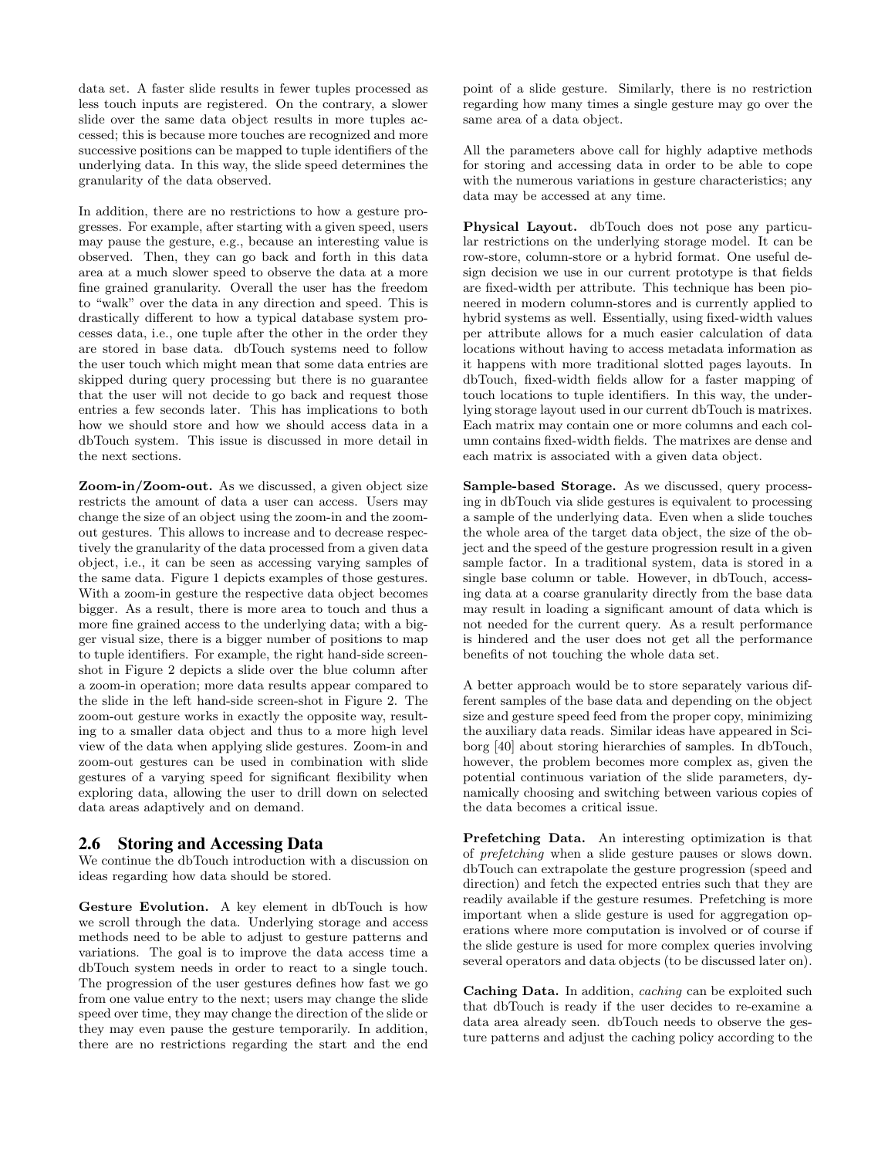data set. A faster slide results in fewer tuples processed as less touch inputs are registered. On the contrary, a slower slide over the same data object results in more tuples accessed; this is because more touches are recognized and more successive positions can be mapped to tuple identifiers of the underlying data. In this way, the slide speed determines the granularity of the data observed.

In addition, there are no restrictions to how a gesture progresses. For example, after starting with a given speed, users may pause the gesture, e.g., because an interesting value is observed. Then, they can go back and forth in this data area at a much slower speed to observe the data at a more fine grained granularity. Overall the user has the freedom to "walk" over the data in any direction and speed. This is drastically different to how a typical database system processes data, i.e., one tuple after the other in the order they are stored in base data. dbTouch systems need to follow the user touch which might mean that some data entries are skipped during query processing but there is no guarantee that the user will not decide to go back and request those entries a few seconds later. This has implications to both how we should store and how we should access data in a dbTouch system. This issue is discussed in more detail in the next sections.

Zoom-in/Zoom-out. As we discussed, a given object size restricts the amount of data a user can access. Users may change the size of an object using the zoom-in and the zoomout gestures. This allows to increase and to decrease respectively the granularity of the data processed from a given data object, i.e., it can be seen as accessing varying samples of the same data. Figure 1 depicts examples of those gestures. With a zoom-in gesture the respective data object becomes bigger. As a result, there is more area to touch and thus a more fine grained access to the underlying data; with a bigger visual size, there is a bigger number of positions to map to tuple identifiers. For example, the right hand-side screenshot in Figure 2 depicts a slide over the blue column after a zoom-in operation; more data results appear compared to the slide in the left hand-side screen-shot in Figure 2. The zoom-out gesture works in exactly the opposite way, resulting to a smaller data object and thus to a more high level view of the data when applying slide gestures. Zoom-in and zoom-out gestures can be used in combination with slide gestures of a varying speed for significant flexibility when exploring data, allowing the user to drill down on selected data areas adaptively and on demand.

## 2.6 Storing and Accessing Data

We continue the dbTouch introduction with a discussion on ideas regarding how data should be stored.

Gesture Evolution. A key element in dbTouch is how we scroll through the data. Underlying storage and access methods need to be able to adjust to gesture patterns and variations. The goal is to improve the data access time a dbTouch system needs in order to react to a single touch. The progression of the user gestures defines how fast we go from one value entry to the next; users may change the slide speed over time, they may change the direction of the slide or they may even pause the gesture temporarily. In addition, there are no restrictions regarding the start and the end point of a slide gesture. Similarly, there is no restriction regarding how many times a single gesture may go over the same area of a data object.

All the parameters above call for highly adaptive methods for storing and accessing data in order to be able to cope with the numerous variations in gesture characteristics; any data may be accessed at any time.

Physical Layout. dbTouch does not pose any particular restrictions on the underlying storage model. It can be row-store, column-store or a hybrid format. One useful design decision we use in our current prototype is that fields are fixed-width per attribute. This technique has been pioneered in modern column-stores and is currently applied to hybrid systems as well. Essentially, using fixed-width values per attribute allows for a much easier calculation of data locations without having to access metadata information as it happens with more traditional slotted pages layouts. In dbTouch, fixed-width fields allow for a faster mapping of touch locations to tuple identifiers. In this way, the underlying storage layout used in our current dbTouch is matrixes. Each matrix may contain one or more columns and each column contains fixed-width fields. The matrixes are dense and each matrix is associated with a given data object.

Sample-based Storage. As we discussed, query processing in dbTouch via slide gestures is equivalent to processing a sample of the underlying data. Even when a slide touches the whole area of the target data object, the size of the object and the speed of the gesture progression result in a given sample factor. In a traditional system, data is stored in a single base column or table. However, in dbTouch, accessing data at a coarse granularity directly from the base data may result in loading a significant amount of data which is not needed for the current query. As a result performance is hindered and the user does not get all the performance benefits of not touching the whole data set.

A better approach would be to store separately various different samples of the base data and depending on the object size and gesture speed feed from the proper copy, minimizing the auxiliary data reads. Similar ideas have appeared in Sciborg [40] about storing hierarchies of samples. In dbTouch, however, the problem becomes more complex as, given the potential continuous variation of the slide parameters, dynamically choosing and switching between various copies of the data becomes a critical issue.

Prefetching Data. An interesting optimization is that of prefetching when a slide gesture pauses or slows down. dbTouch can extrapolate the gesture progression (speed and direction) and fetch the expected entries such that they are readily available if the gesture resumes. Prefetching is more important when a slide gesture is used for aggregation operations where more computation is involved or of course if the slide gesture is used for more complex queries involving several operators and data objects (to be discussed later on).

Caching Data. In addition, caching can be exploited such that dbTouch is ready if the user decides to re-examine a data area already seen. dbTouch needs to observe the gesture patterns and adjust the caching policy according to the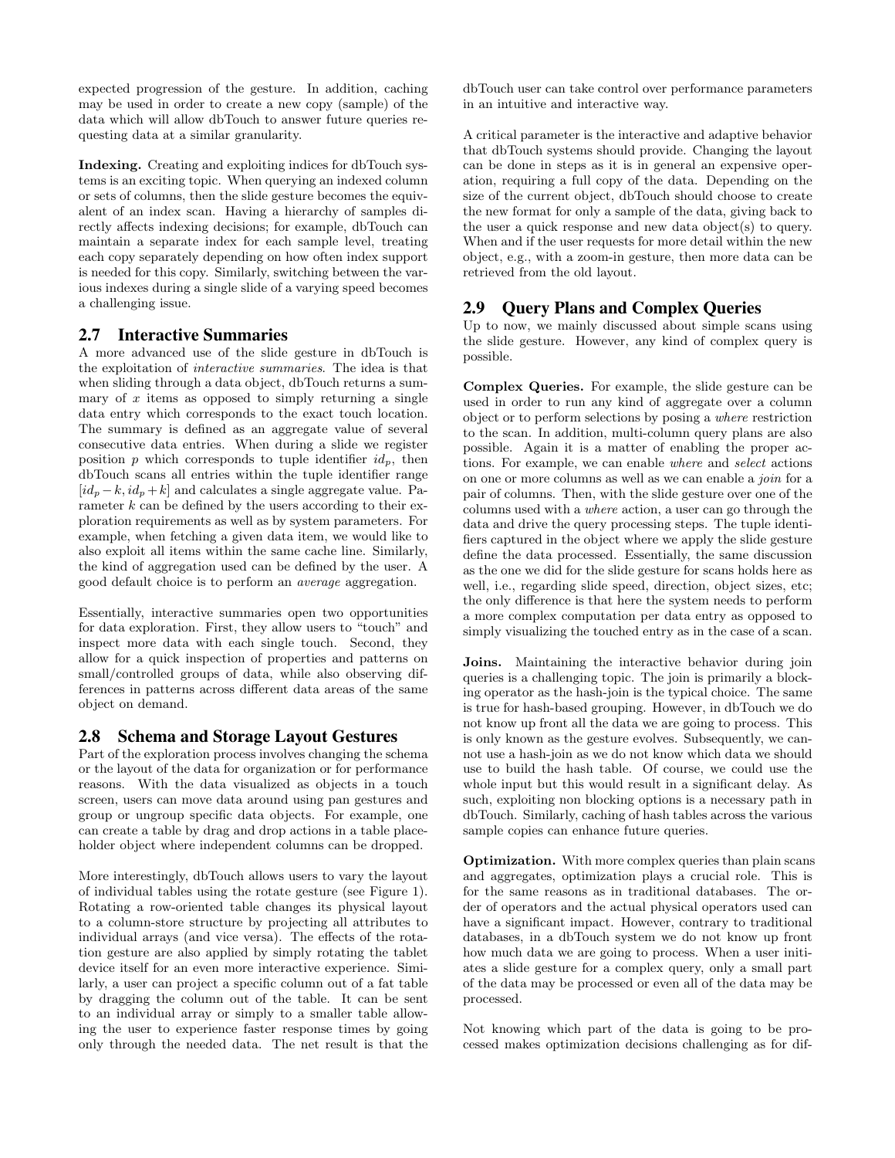expected progression of the gesture. In addition, caching may be used in order to create a new copy (sample) of the data which will allow dbTouch to answer future queries requesting data at a similar granularity.

Indexing. Creating and exploiting indices for dbTouch systems is an exciting topic. When querying an indexed column or sets of columns, then the slide gesture becomes the equivalent of an index scan. Having a hierarchy of samples directly affects indexing decisions; for example, dbTouch can maintain a separate index for each sample level, treating each copy separately depending on how often index support is needed for this copy. Similarly, switching between the various indexes during a single slide of a varying speed becomes a challenging issue.

## 2.7 Interactive Summaries

A more advanced use of the slide gesture in dbTouch is the exploitation of interactive summaries. The idea is that when sliding through a data object, dbTouch returns a summary of  $x$  items as opposed to simply returning a single data entry which corresponds to the exact touch location. The summary is defined as an aggregate value of several consecutive data entries. When during a slide we register position p which corresponds to tuple identifier  $id_p$ , then dbTouch scans all entries within the tuple identifier range  $[id_p - k, id_p + k]$  and calculates a single aggregate value. Parameter  $k$  can be defined by the users according to their exploration requirements as well as by system parameters. For example, when fetching a given data item, we would like to also exploit all items within the same cache line. Similarly, the kind of aggregation used can be defined by the user. A good default choice is to perform an average aggregation.

Essentially, interactive summaries open two opportunities for data exploration. First, they allow users to "touch" and inspect more data with each single touch. Second, they allow for a quick inspection of properties and patterns on small/controlled groups of data, while also observing differences in patterns across different data areas of the same object on demand.

## 2.8 Schema and Storage Layout Gestures

Part of the exploration process involves changing the schema or the layout of the data for organization or for performance reasons. With the data visualized as objects in a touch screen, users can move data around using pan gestures and group or ungroup specific data objects. For example, one can create a table by drag and drop actions in a table placeholder object where independent columns can be dropped.

More interestingly, dbTouch allows users to vary the layout of individual tables using the rotate gesture (see Figure 1). Rotating a row-oriented table changes its physical layout to a column-store structure by projecting all attributes to individual arrays (and vice versa). The effects of the rotation gesture are also applied by simply rotating the tablet device itself for an even more interactive experience. Similarly, a user can project a specific column out of a fat table by dragging the column out of the table. It can be sent to an individual array or simply to a smaller table allowing the user to experience faster response times by going only through the needed data. The net result is that the dbTouch user can take control over performance parameters in an intuitive and interactive way.

A critical parameter is the interactive and adaptive behavior that dbTouch systems should provide. Changing the layout can be done in steps as it is in general an expensive operation, requiring a full copy of the data. Depending on the size of the current object, dbTouch should choose to create the new format for only a sample of the data, giving back to the user a quick response and new data object(s) to query. When and if the user requests for more detail within the new object, e.g., with a zoom-in gesture, then more data can be retrieved from the old layout.

## 2.9 Query Plans and Complex Queries

Up to now, we mainly discussed about simple scans using the slide gesture. However, any kind of complex query is possible.

Complex Queries. For example, the slide gesture can be used in order to run any kind of aggregate over a column object or to perform selections by posing a where restriction to the scan. In addition, multi-column query plans are also possible. Again it is a matter of enabling the proper actions. For example, we can enable where and select actions on one or more columns as well as we can enable a join for a pair of columns. Then, with the slide gesture over one of the columns used with a where action, a user can go through the data and drive the query processing steps. The tuple identifiers captured in the object where we apply the slide gesture define the data processed. Essentially, the same discussion as the one we did for the slide gesture for scans holds here as well, i.e., regarding slide speed, direction, object sizes, etc; the only difference is that here the system needs to perform a more complex computation per data entry as opposed to simply visualizing the touched entry as in the case of a scan.

Joins. Maintaining the interactive behavior during join queries is a challenging topic. The join is primarily a blocking operator as the hash-join is the typical choice. The same is true for hash-based grouping. However, in dbTouch we do not know up front all the data we are going to process. This is only known as the gesture evolves. Subsequently, we cannot use a hash-join as we do not know which data we should use to build the hash table. Of course, we could use the whole input but this would result in a significant delay. As such, exploiting non blocking options is a necessary path in dbTouch. Similarly, caching of hash tables across the various sample copies can enhance future queries.

Optimization. With more complex queries than plain scans and aggregates, optimization plays a crucial role. This is for the same reasons as in traditional databases. The order of operators and the actual physical operators used can have a significant impact. However, contrary to traditional databases, in a dbTouch system we do not know up front how much data we are going to process. When a user initiates a slide gesture for a complex query, only a small part of the data may be processed or even all of the data may be processed.

Not knowing which part of the data is going to be processed makes optimization decisions challenging as for dif-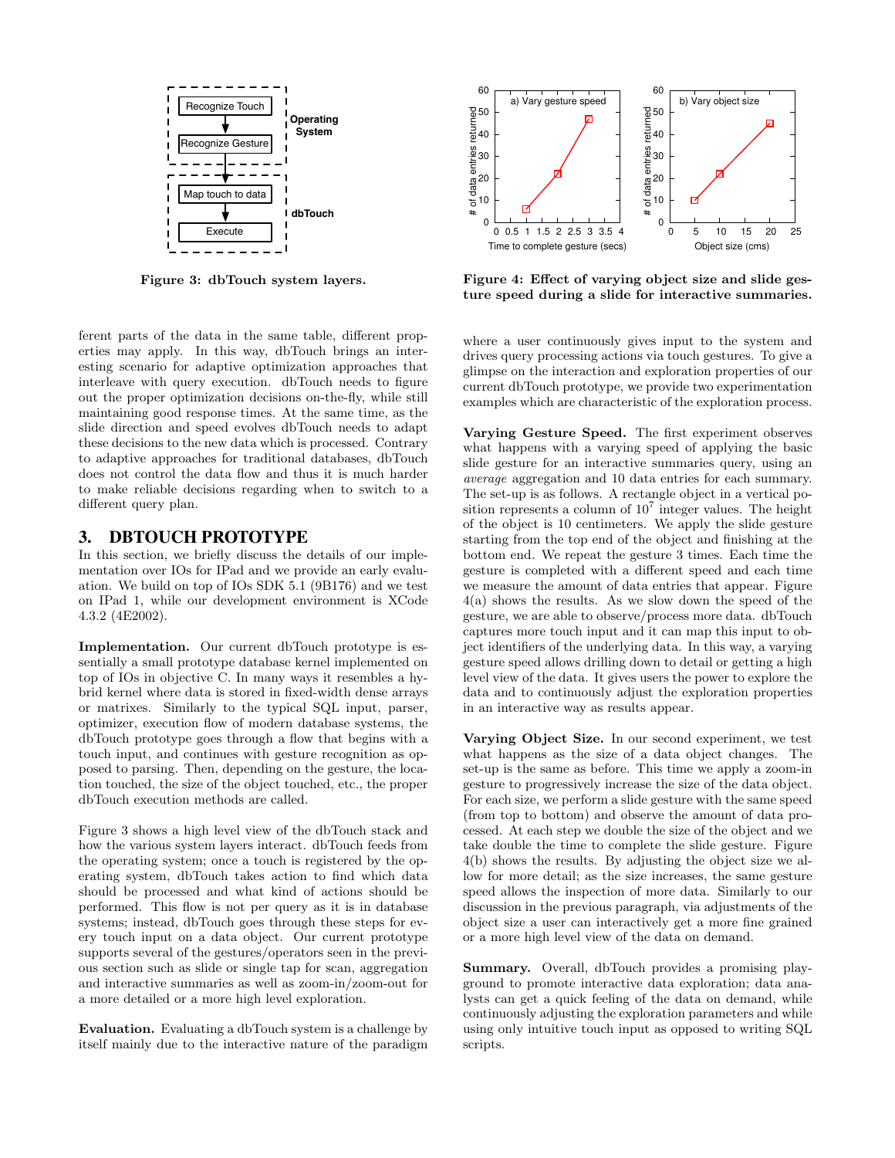

Figure 3: dbTouch system layers.

ferent parts of the data in the same table, different properties may apply. In this way, dbTouch brings an interesting scenario for adaptive optimization approaches that interleave with query execution. dbTouch needs to figure out the proper optimization decisions on-the-fly, while still maintaining good response times. At the same time, as the slide direction and speed evolves dbTouch needs to adapt these decisions to the new data which is processed. Contrary to adaptive approaches for traditional databases, dbTouch does not control the data flow and thus it is much harder to make reliable decisions regarding when to switch to a different query plan.

## 3. DBTOUCH PROTOTYPE

In this section, we briefly discuss the details of our implementation over IOs for IPad and we provide an early evaluation. We build on top of IOs SDK 5.1 (9B176) and we test on IPad 1, while our development environment is XCode 4.3.2 (4E2002).

Implementation. Our current dbTouch prototype is essentially a small prototype database kernel implemented on top of IOs in objective C. In many ways it resembles a hybrid kernel where data is stored in fixed-width dense arrays or matrixes. Similarly to the typical SQL input, parser, optimizer, execution flow of modern database systems, the dbTouch prototype goes through a flow that begins with a touch input, and continues with gesture recognition as opposed to parsing. Then, depending on the gesture, the location touched, the size of the object touched, etc., the proper dbTouch execution methods are called.

Figure 3 shows a high level view of the dbTouch stack and how the various system layers interact. dbTouch feeds from the operating system; once a touch is registered by the operating system, dbTouch takes action to find which data should be processed and what kind of actions should be performed. This flow is not per query as it is in database systems; instead, dbTouch goes through these steps for every touch input on a data object. Our current prototype supports several of the gestures/operators seen in the previous section such as slide or single tap for scan, aggregation and interactive summaries as well as zoom-in/zoom-out for a more detailed or a more high level exploration.

Evaluation. Evaluating a dbTouch system is a challenge by itself mainly due to the interactive nature of the paradigm



Figure 4: Effect of varying object size and slide gesture speed during a slide for interactive summaries.

where a user continuously gives input to the system and drives query processing actions via touch gestures. To give a glimpse on the interaction and exploration properties of our current dbTouch prototype, we provide two experimentation examples which are characteristic of the exploration process.

Varying Gesture Speed. The first experiment observes what happens with a varying speed of applying the basic slide gesture for an interactive summaries query, using an average aggregation and 10 data entries for each summary. The set-up is as follows. A rectangle object in a vertical position represents a column of  $10<sup>7</sup>$  integer values. The height of the object is 10 centimeters. We apply the slide gesture starting from the top end of the object and finishing at the bottom end. We repeat the gesture 3 times. Each time the gesture is completed with a different speed and each time we measure the amount of data entries that appear. Figure 4(a) shows the results. As we slow down the speed of the gesture, we are able to observe/process more data. dbTouch captures more touch input and it can map this input to object identifiers of the underlying data. In this way, a varying gesture speed allows drilling down to detail or getting a high level view of the data. It gives users the power to explore the data and to continuously adjust the exploration properties in an interactive way as results appear.

Varying Object Size. In our second experiment, we test what happens as the size of a data object changes. The set-up is the same as before. This time we apply a zoom-in gesture to progressively increase the size of the data object. For each size, we perform a slide gesture with the same speed (from top to bottom) and observe the amount of data processed. At each step we double the size of the object and we take double the time to complete the slide gesture. Figure 4(b) shows the results. By adjusting the object size we allow for more detail; as the size increases, the same gesture speed allows the inspection of more data. Similarly to our discussion in the previous paragraph, via adjustments of the object size a user can interactively get a more fine grained or a more high level view of the data on demand.

Summary. Overall, dbTouch provides a promising playground to promote interactive data exploration; data analysts can get a quick feeling of the data on demand, while continuously adjusting the exploration parameters and while using only intuitive touch input as opposed to writing SQL scripts.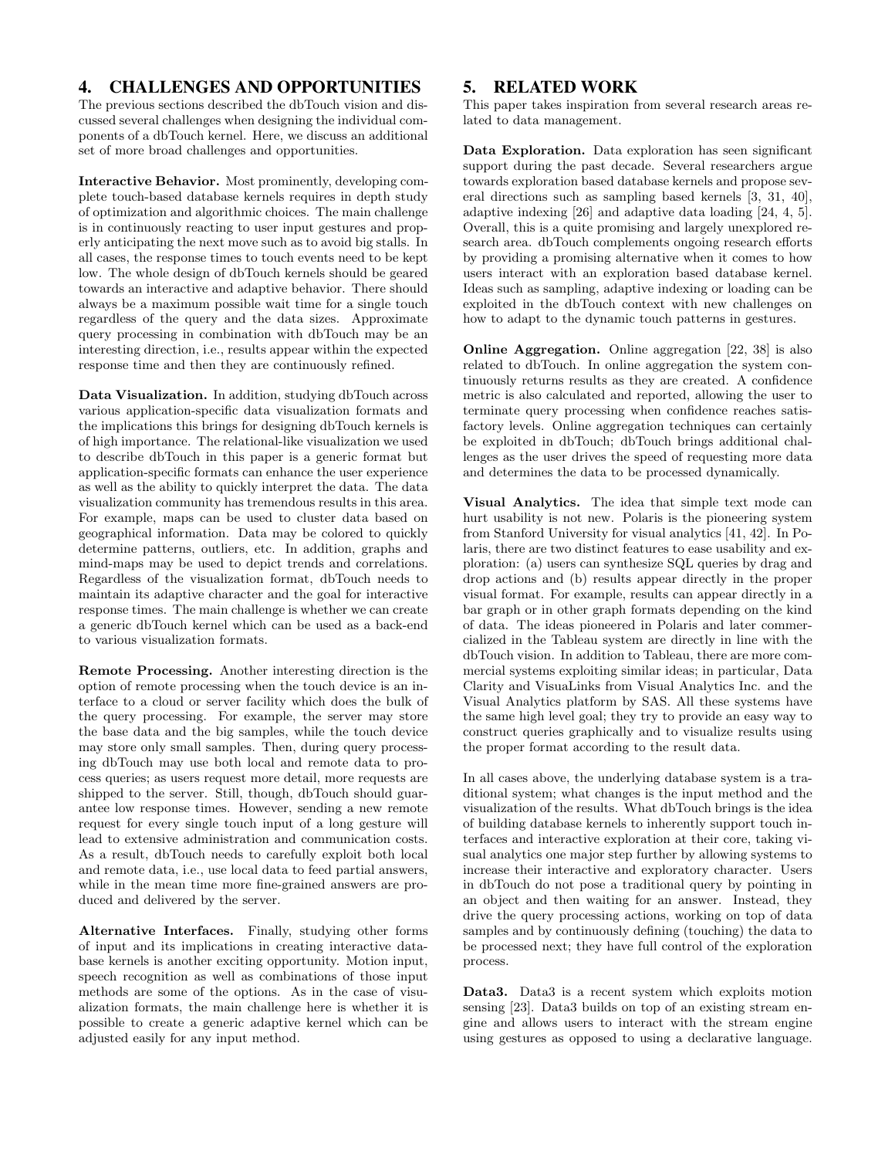# 4. CHALLENGES AND OPPORTUNITIES

The previous sections described the dbTouch vision and discussed several challenges when designing the individual components of a dbTouch kernel. Here, we discuss an additional set of more broad challenges and opportunities.

Interactive Behavior. Most prominently, developing complete touch-based database kernels requires in depth study of optimization and algorithmic choices. The main challenge is in continuously reacting to user input gestures and properly anticipating the next move such as to avoid big stalls. In all cases, the response times to touch events need to be kept low. The whole design of dbTouch kernels should be geared towards an interactive and adaptive behavior. There should always be a maximum possible wait time for a single touch regardless of the query and the data sizes. Approximate query processing in combination with dbTouch may be an interesting direction, i.e., results appear within the expected response time and then they are continuously refined.

Data Visualization. In addition, studying dbTouch across various application-specific data visualization formats and the implications this brings for designing dbTouch kernels is of high importance. The relational-like visualization we used to describe dbTouch in this paper is a generic format but application-specific formats can enhance the user experience as well as the ability to quickly interpret the data. The data visualization community has tremendous results in this area. For example, maps can be used to cluster data based on geographical information. Data may be colored to quickly determine patterns, outliers, etc. In addition, graphs and mind-maps may be used to depict trends and correlations. Regardless of the visualization format, dbTouch needs to maintain its adaptive character and the goal for interactive response times. The main challenge is whether we can create a generic dbTouch kernel which can be used as a back-end to various visualization formats.

Remote Processing. Another interesting direction is the option of remote processing when the touch device is an interface to a cloud or server facility which does the bulk of the query processing. For example, the server may store the base data and the big samples, while the touch device may store only small samples. Then, during query processing dbTouch may use both local and remote data to process queries; as users request more detail, more requests are shipped to the server. Still, though, dbTouch should guarantee low response times. However, sending a new remote request for every single touch input of a long gesture will lead to extensive administration and communication costs. As a result, dbTouch needs to carefully exploit both local and remote data, i.e., use local data to feed partial answers, while in the mean time more fine-grained answers are produced and delivered by the server.

Alternative Interfaces. Finally, studying other forms of input and its implications in creating interactive database kernels is another exciting opportunity. Motion input, speech recognition as well as combinations of those input methods are some of the options. As in the case of visualization formats, the main challenge here is whether it is possible to create a generic adaptive kernel which can be adjusted easily for any input method.

# 5. RELATED WORK

This paper takes inspiration from several research areas related to data management.

Data Exploration. Data exploration has seen significant support during the past decade. Several researchers argue towards exploration based database kernels and propose several directions such as sampling based kernels [3, 31, 40], adaptive indexing [26] and adaptive data loading [24, 4, 5]. Overall, this is a quite promising and largely unexplored research area. dbTouch complements ongoing research efforts by providing a promising alternative when it comes to how users interact with an exploration based database kernel. Ideas such as sampling, adaptive indexing or loading can be exploited in the dbTouch context with new challenges on how to adapt to the dynamic touch patterns in gestures.

Online Aggregation. Online aggregation [22, 38] is also related to dbTouch. In online aggregation the system continuously returns results as they are created. A confidence metric is also calculated and reported, allowing the user to terminate query processing when confidence reaches satisfactory levels. Online aggregation techniques can certainly be exploited in dbTouch; dbTouch brings additional challenges as the user drives the speed of requesting more data and determines the data to be processed dynamically.

Visual Analytics. The idea that simple text mode can hurt usability is not new. Polaris is the pioneering system from Stanford University for visual analytics [41, 42]. In Polaris, there are two distinct features to ease usability and exploration: (a) users can synthesize SQL queries by drag and drop actions and (b) results appear directly in the proper visual format. For example, results can appear directly in a bar graph or in other graph formats depending on the kind of data. The ideas pioneered in Polaris and later commercialized in the Tableau system are directly in line with the dbTouch vision. In addition to Tableau, there are more commercial systems exploiting similar ideas; in particular, Data Clarity and VisuaLinks from Visual Analytics Inc. and the Visual Analytics platform by SAS. All these systems have the same high level goal; they try to provide an easy way to construct queries graphically and to visualize results using the proper format according to the result data.

In all cases above, the underlying database system is a traditional system; what changes is the input method and the visualization of the results. What dbTouch brings is the idea of building database kernels to inherently support touch interfaces and interactive exploration at their core, taking visual analytics one major step further by allowing systems to increase their interactive and exploratory character. Users in dbTouch do not pose a traditional query by pointing in an object and then waiting for an answer. Instead, they drive the query processing actions, working on top of data samples and by continuously defining (touching) the data to be processed next; they have full control of the exploration process.

Data3. Data3 is a recent system which exploits motion sensing [23]. Data3 builds on top of an existing stream engine and allows users to interact with the stream engine using gestures as opposed to using a declarative language.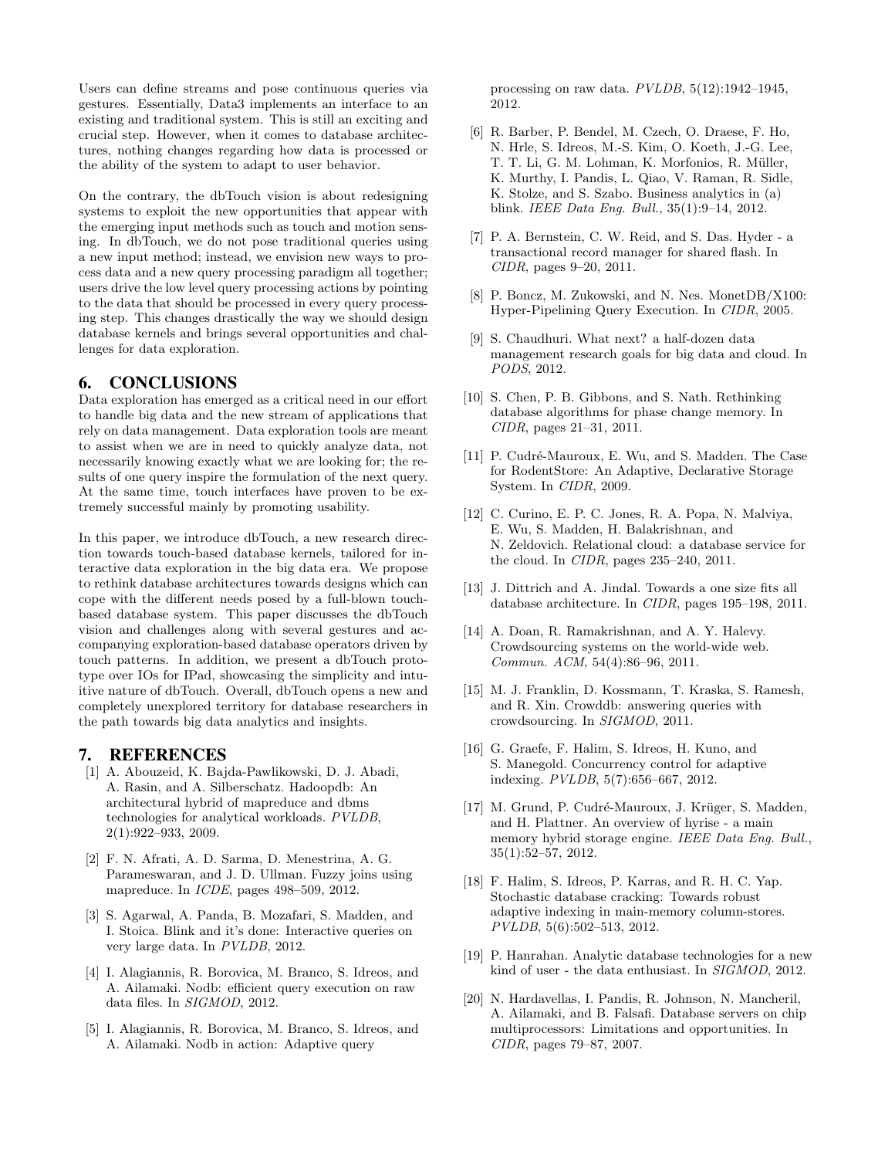Users can define streams and pose continuous queries via gestures. Essentially, Data3 implements an interface to an existing and traditional system. This is still an exciting and crucial step. However, when it comes to database architectures, nothing changes regarding how data is processed or the ability of the system to adapt to user behavior.

On the contrary, the dbTouch vision is about redesigning systems to exploit the new opportunities that appear with the emerging input methods such as touch and motion sensing. In dbTouch, we do not pose traditional queries using a new input method; instead, we envision new ways to process data and a new query processing paradigm all together; users drive the low level query processing actions by pointing to the data that should be processed in every query processing step. This changes drastically the way we should design database kernels and brings several opportunities and challenges for data exploration.

#### 6. CONCLUSIONS

Data exploration has emerged as a critical need in our effort to handle big data and the new stream of applications that rely on data management. Data exploration tools are meant to assist when we are in need to quickly analyze data, not necessarily knowing exactly what we are looking for; the results of one query inspire the formulation of the next query. At the same time, touch interfaces have proven to be extremely successful mainly by promoting usability.

In this paper, we introduce dbTouch, a new research direction towards touch-based database kernels, tailored for interactive data exploration in the big data era. We propose to rethink database architectures towards designs which can cope with the different needs posed by a full-blown touchbased database system. This paper discusses the dbTouch vision and challenges along with several gestures and accompanying exploration-based database operators driven by touch patterns. In addition, we present a dbTouch prototype over IOs for IPad, showcasing the simplicity and intuitive nature of dbTouch. Overall, dbTouch opens a new and completely unexplored territory for database researchers in the path towards big data analytics and insights.

#### 7. REFERENCES

- [1] A. Abouzeid, K. Bajda-Pawlikowski, D. J. Abadi, A. Rasin, and A. Silberschatz. Hadoopdb: An architectural hybrid of mapreduce and dbms technologies for analytical workloads. PVLDB, 2(1):922–933, 2009.
- [2] F. N. Afrati, A. D. Sarma, D. Menestrina, A. G. Parameswaran, and J. D. Ullman. Fuzzy joins using mapreduce. In ICDE, pages 498–509, 2012.
- [3] S. Agarwal, A. Panda, B. Mozafari, S. Madden, and I. Stoica. Blink and it's done: Interactive queries on very large data. In PVLDB, 2012.
- [4] I. Alagiannis, R. Borovica, M. Branco, S. Idreos, and A. Ailamaki. Nodb: efficient query execution on raw data files. In SIGMOD, 2012.
- [5] I. Alagiannis, R. Borovica, M. Branco, S. Idreos, and A. Ailamaki. Nodb in action: Adaptive query

processing on raw data. PVLDB, 5(12):1942–1945, 2012.

- [6] R. Barber, P. Bendel, M. Czech, O. Draese, F. Ho, N. Hrle, S. Idreos, M.-S. Kim, O. Koeth, J.-G. Lee, T. T. Li, G. M. Lohman, K. Morfonios, R. Müller, K. Murthy, I. Pandis, L. Qiao, V. Raman, R. Sidle, K. Stolze, and S. Szabo. Business analytics in (a) blink. IEEE Data Eng. Bull., 35(1):9–14, 2012.
- [7] P. A. Bernstein, C. W. Reid, and S. Das. Hyder a transactional record manager for shared flash. In CIDR, pages 9–20, 2011.
- [8] P. Boncz, M. Zukowski, and N. Nes. MonetDB/X100: Hyper-Pipelining Query Execution. In CIDR, 2005.
- [9] S. Chaudhuri. What next? a half-dozen data management research goals for big data and cloud. In PODS, 2012.
- [10] S. Chen, P. B. Gibbons, and S. Nath. Rethinking database algorithms for phase change memory. In CIDR, pages 21–31, 2011.
- [11] P. Cudré-Mauroux, E. Wu, and S. Madden. The Case for RodentStore: An Adaptive, Declarative Storage System. In CIDR, 2009.
- [12] C. Curino, E. P. C. Jones, R. A. Popa, N. Malviya, E. Wu, S. Madden, H. Balakrishnan, and N. Zeldovich. Relational cloud: a database service for the cloud. In CIDR, pages 235–240, 2011.
- [13] J. Dittrich and A. Jindal. Towards a one size fits all database architecture. In CIDR, pages 195–198, 2011.
- [14] A. Doan, R. Ramakrishnan, and A. Y. Halevy. Crowdsourcing systems on the world-wide web. Commun. ACM, 54(4):86–96, 2011.
- [15] M. J. Franklin, D. Kossmann, T. Kraska, S. Ramesh, and R. Xin. Crowddb: answering queries with crowdsourcing. In SIGMOD, 2011.
- [16] G. Graefe, F. Halim, S. Idreos, H. Kuno, and S. Manegold. Concurrency control for adaptive indexing. PVLDB, 5(7):656–667, 2012.
- [17] M. Grund, P. Cudré-Mauroux, J. Krüger, S. Madden, and H. Plattner. An overview of hyrise - a main memory hybrid storage engine. IEEE Data Eng. Bull., 35(1):52–57, 2012.
- [18] F. Halim, S. Idreos, P. Karras, and R. H. C. Yap. Stochastic database cracking: Towards robust adaptive indexing in main-memory column-stores. PVLDB, 5(6):502–513, 2012.
- [19] P. Hanrahan. Analytic database technologies for a new kind of user - the data enthusiast. In SIGMOD, 2012.
- [20] N. Hardavellas, I. Pandis, R. Johnson, N. Mancheril, A. Ailamaki, and B. Falsafi. Database servers on chip multiprocessors: Limitations and opportunities. In CIDR, pages 79–87, 2007.